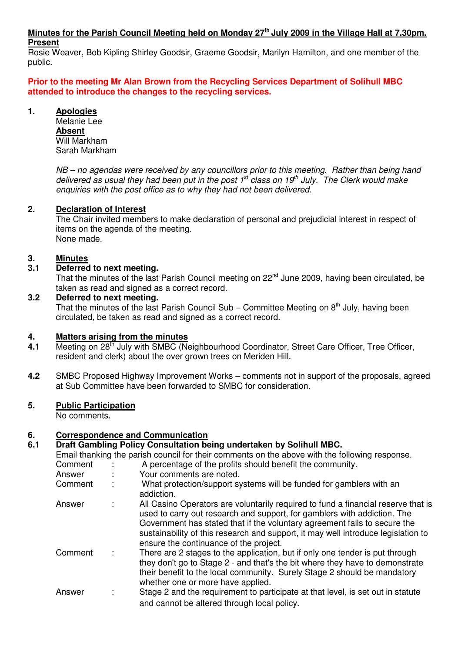#### **Minutes for the Parish Council Meeting held on Monday 27th July 2009 in the Village Hall at 7.30pm. Present**

Rosie Weaver, Bob Kipling Shirley Goodsir, Graeme Goodsir, Marilyn Hamilton, and one member of the public.

**Prior to the meeting Mr Alan Brown from the Recycling Services Department of Solihull MBC attended to introduce the changes to the recycling services.** 

## **1. Apologies**

 Melanie Lee  **Absent** Will Markham Sarah Markham

NB – no agendas were received by any councillors prior to this meeting. Rather than being hand delivered as usual they had been put in the post  $1<sup>st</sup>$  class on  $19<sup>th</sup>$  July. The Clerk would make enquiries with the post office as to why they had not been delivered.

# **2. Declaration of Interest**

The Chair invited members to make declaration of personal and prejudicial interest in respect of items on the agenda of the meeting. None made.

# **3. Minutes**

# **3.1 Deferred to next meeting.**

That the minutes of the last Parish Council meeting on 22<sup>nd</sup> June 2009, having been circulated, be taken as read and signed as a correct record.

# **3.2 Deferred to next meeting.**

That the minutes of the last Parish Council Sub – Committee Meeting on  $8<sup>th</sup>$  July, having been circulated, be taken as read and signed as a correct record.

# **4. Matters arising from the minutes**

- **4.1** Meeting on 28<sup>th</sup> July with SMBC (Neighbourhood Coordinator, Street Care Officer, Tree Officer, resident and clerk) about the over grown trees on Meriden Hill.
- **4.2** SMBC Proposed Highway Improvement Works comments not in support of the proposals, agreed at Sub Committee have been forwarded to SMBC for consideration.

# **5. Public Participation**

No comments.

# **6. Correspondence and Communication**

#### **6.1 Draft Gambling Policy Consultation being undertaken by Solihull MBC.**

| Email thanking the parish council for their comments on the above with the following response. |  |                                                                                                                                                                                                                                                                                                                                                                           |
|------------------------------------------------------------------------------------------------|--|---------------------------------------------------------------------------------------------------------------------------------------------------------------------------------------------------------------------------------------------------------------------------------------------------------------------------------------------------------------------------|
| Comment                                                                                        |  | A percentage of the profits should benefit the community.                                                                                                                                                                                                                                                                                                                 |
| Answer                                                                                         |  | Your comments are noted.                                                                                                                                                                                                                                                                                                                                                  |
| Comment                                                                                        |  | What protection/support systems will be funded for gamblers with an<br>addiction.                                                                                                                                                                                                                                                                                         |
| Answer                                                                                         |  | All Casino Operators are voluntarily required to fund a financial reserve that is<br>used to carry out research and support, for gamblers with addiction. The<br>Government has stated that if the voluntary agreement fails to secure the<br>sustainability of this research and support, it may well introduce legislation to<br>ensure the continuance of the project. |
| Comment                                                                                        |  | There are 2 stages to the application, but if only one tender is put through<br>they don't go to Stage 2 - and that's the bit where they have to demonstrate<br>their benefit to the local community. Surely Stage 2 should be mandatory<br>whether one or more have applied.                                                                                             |
| Answer                                                                                         |  | Stage 2 and the requirement to participate at that level, is set out in statute<br>and cannot be altered through local policy.                                                                                                                                                                                                                                            |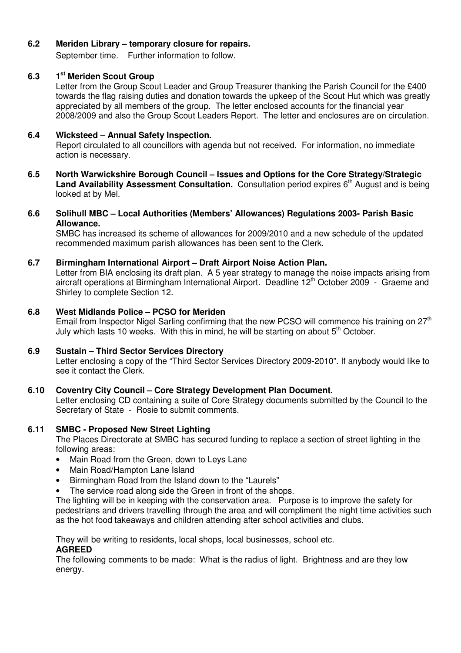# **6.2 Meriden Library – temporary closure for repairs.**

September time. Further information to follow.

## **6.3 1st Meriden Scout Group**

Letter from the Group Scout Leader and Group Treasurer thanking the Parish Council for the £400 towards the flag raising duties and donation towards the upkeep of the Scout Hut which was greatly appreciated by all members of the group. The letter enclosed accounts for the financial year 2008/2009 and also the Group Scout Leaders Report. The letter and enclosures are on circulation.

#### **6.4 Wicksteed – Annual Safety Inspection.**

Report circulated to all councillors with agenda but not received. For information, no immediate action is necessary.

**6.5 North Warwickshire Borough Council – Issues and Options for the Core Strategy/Strategic**  Land Availability Assessment Consultation. Consultation period expires 6<sup>th</sup> August and is being looked at by Mel.

#### **6.6 Solihull MBC – Local Authorities (Members' Allowances) Regulations 2003- Parish Basic Allowance.**

SMBC has increased its scheme of allowances for 2009/2010 and a new schedule of the updated recommended maximum parish allowances has been sent to the Clerk.

## **6.7 Birmingham International Airport – Draft Airport Noise Action Plan.**

Letter from BIA enclosing its draft plan. A 5 year strategy to manage the noise impacts arising from aircraft operations at Birmingham International Airport. Deadline 12<sup>th</sup> October 2009 - Graeme and Shirley to complete Section 12.

## **6.8 West Midlands Police – PCSO for Meriden**

Email from Inspector Nigel Sarling confirming that the new PCSO will commence his training on  $27<sup>th</sup>$ July which lasts 10 weeks. With this in mind, he will be starting on about  $5<sup>th</sup>$  October.

#### **6.9 Sustain – Third Sector Services Directory**

Letter enclosing a copy of the "Third Sector Services Directory 2009-2010". If anybody would like to see it contact the Clerk.

# **6.10 Coventry City Council – Core Strategy Development Plan Document.**

Letter enclosing CD containing a suite of Core Strategy documents submitted by the Council to the Secretary of State - Rosie to submit comments.

#### **6.11 SMBC - Proposed New Street Lighting**

The Places Directorate at SMBC has secured funding to replace a section of street lighting in the following areas:

- Main Road from the Green, down to Leys Lane
- Main Road/Hampton Lane Island
- Birmingham Road from the Island down to the "Laurels"
- The service road along side the Green in front of the shops.

The lighting will be in keeping with the conservation area. Purpose is to improve the safety for pedestrians and drivers travelling through the area and will compliment the night time activities such as the hot food takeaways and children attending after school activities and clubs.

They will be writing to residents, local shops, local businesses, school etc.

## **AGREED**

The following comments to be made: What is the radius of light. Brightness and are they low energy.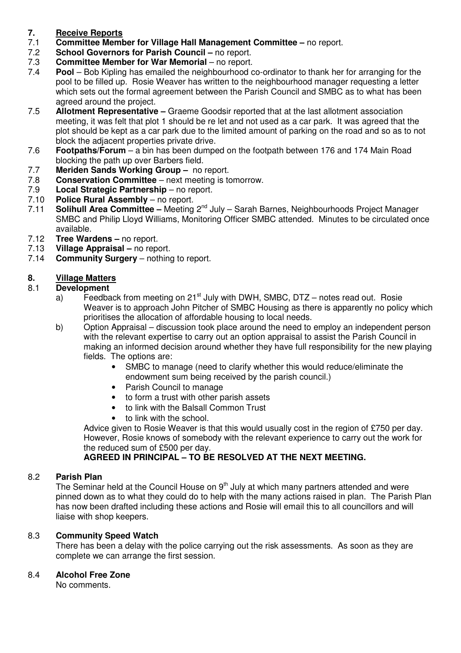# **7. Receive Reports**<br>**7.1** Committee Memb

- 7.1 **Committee Member for Village Hall Management Committee –** no report.
- **School Governors for Parish Council no report.**
- 7.3 **Committee Member for War Memorial**  no report.
- 7.4 **Pool** Bob Kipling has emailed the neighbourhood co-ordinator to thank her for arranging for the pool to be filled up. Rosie Weaver has written to the neighbourhood manager requesting a letter which sets out the formal agreement between the Parish Council and SMBC as to what has been agreed around the project.
- 7.5 **Allotment Representative** Graeme Goodsir reported that at the last allotment association meeting, it was felt that plot 1 should be re let and not used as a car park. It was agreed that the plot should be kept as a car park due to the limited amount of parking on the road and so as to not block the adjacent properties private drive.
- 7.6 **Footpaths/Forum**  a bin has been dumped on the footpath between 176 and 174 Main Road blocking the path up over Barbers field.
- 7.7 **Meriden Sands Working Group** no report.<br>7.8 **Conservation Committee** next meeting is to
- **Conservation Committee next meeting is tomorrow.**
- 7.9 **Local Strategic Partnership** no report.<br>7.10 **Police Rural Assembly** no report.
- **Police Rural Assembly** no report.
- 7.11 **Solihull Area Committee –** Meeting 2<sup>nd</sup> July Sarah Barnes, Neighbourhoods Project Manager SMBC and Philip Lloyd Williams, Monitoring Officer SMBC attended. Minutes to be circulated once available.
- 
- 7.12 **Tree Wardens** no report.<br>7.13 **Village Appraisal** no repo **Village Appraisal – no report.**
- 7.14 **Community Surgery**  nothing to report.

# **8. Village Matters**

## 8.1 **Development**

- a) Feedback from meeting on 21<sup>st</sup> July with DWH, SMBC, DTZ notes read out. Rosie Weaver is to approach John Pitcher of SMBC Housing as there is apparently no policy which prioritises the allocation of affordable housing to local needs.
- b) Option Appraisal discussion took place around the need to employ an independent person with the relevant expertise to carry out an option appraisal to assist the Parish Council in making an informed decision around whether they have full responsibility for the new playing fields. The options are:
	- SMBC to manage (need to clarify whether this would reduce/eliminate the endowment sum being received by the parish council.)
	- Parish Council to manage
	- to form a trust with other parish assets
	- to link with the Balsall Common Trust
	- to link with the school.

Advice given to Rosie Weaver is that this would usually cost in the region of £750 per day. However, Rosie knows of somebody with the relevant experience to carry out the work for the reduced sum of £500 per day.

# **AGREED IN PRINCIPAL – TO BE RESOLVED AT THE NEXT MEETING.**

# 8.2 **Parish Plan**

The Seminar held at the Council House on  $9<sup>th</sup>$  July at which many partners attended and were pinned down as to what they could do to help with the many actions raised in plan. The Parish Plan has now been drafted including these actions and Rosie will email this to all councillors and will liaise with shop keepers.

# 8.3 **Community Speed Watch**

There has been a delay with the police carrying out the risk assessments. As soon as they are complete we can arrange the first session.

# 8.4 **Alcohol Free Zone**

No comments.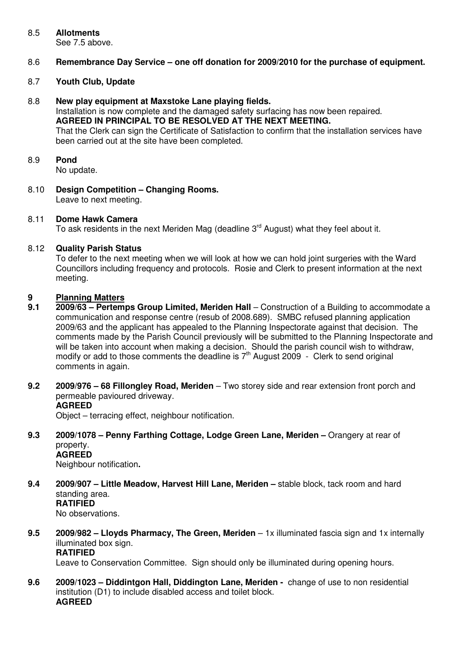#### 8.5 **Allotments**

See 7.5 above.

## 8.6 **Remembrance Day Service – one off donation for 2009/2010 for the purchase of equipment.**

#### 8.7 **Youth Club, Update**

#### 8.8 **New play equipment at Maxstoke Lane playing fields.** Installation is now complete and the damaged safety surfacing has now been repaired. **AGREED IN PRINCIPAL TO BE RESOLVED AT THE NEXT MEETING.**  That the Clerk can sign the Certificate of Satisfaction to confirm that the installation services have been carried out at the site have been completed.

#### 8.9 **Pond**

No update.

8.10 **Design Competition – Changing Rooms.**  Leave to next meeting.

## 8.11 **Dome Hawk Camera**

To ask residents in the next Meriden Mag (deadline  $3<sup>rd</sup>$  August) what they feel about it.

## 8.12 **Quality Parish Status**

To defer to the next meeting when we will look at how we can hold joint surgeries with the Ward Councillors including frequency and protocols. Rosie and Clerk to present information at the next meeting.

#### **9 Planning Matters**

- **9.1 2009/63 Pertemps Group Limited, Meriden Hall** Construction of a Building to accommodate a communication and response centre (resub of 2008.689). SMBC refused planning application 2009/63 and the applicant has appealed to the Planning Inspectorate against that decision. The comments made by the Parish Council previously will be submitted to the Planning Inspectorate and will be taken into account when making a decision. Should the parish council wish to withdraw, modify or add to those comments the deadline is  $7<sup>th</sup>$  August 2009 - Clerk to send original comments in again.
- **9.2 2009/976 68 Fillongley Road, Meriden** Two storey side and rear extension front porch and permeable pavioured driveway.  **AGREED**

Object – terracing effect, neighbour notification.

# **9.3 2009/1078 – Penny Farthing Cottage, Lodge Green Lane, Meriden –** Orangery at rear of property.  **AGREED**

Neighbour notification**.** 

**9.4 2009/907 – Little Meadow, Harvest Hill Lane, Meriden –** stable block, tack room and hard standing area.  **RATIFIED** 

No observations.

**9.5 2009/982 – Lloyds Pharmacy, The Green, Meriden** – 1x illuminated fascia sign and 1x internally illuminated box sign.  **RATIFIED** 

Leave to Conservation Committee. Sign should only be illuminated during opening hours.

**9.6 2009/1023 – Diddintgon Hall, Diddington Lane, Meriden -** change of use to non residential institution (D1) to include disabled access and toilet block. **AGREED**